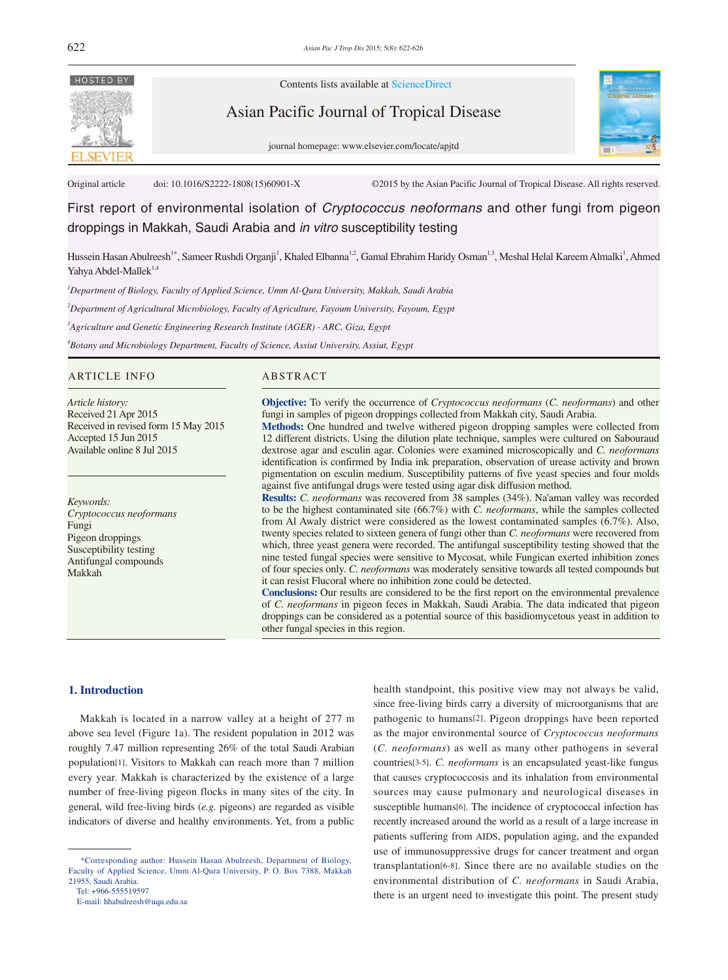

Contents lists available at ScienceDirect

Asian Pacific Journal of Tropical Disease





Original article doi: 10.1016/S2222-1808(15)60901-X ©2015 by the Asian Pacific Journal of Tropical Disease. All rights reserved.

First report of environmental isolation of *Cryptococcus neoformans* and other fungi from pigeon droppings in Makkah, Saudi Arabia and *in vitro* susceptibility testing

Hussein Hasan Abulreesh<sup>1\*</sup>, Sameer Rushdi Organji<sup>1</sup>, Khaled Elbanna<sup>1,2</sup>, Gamal Ebrahim Haridy Osman<sup>1,3</sup>, Meshal Helal Kareem Almalki<sup>1</sup>, Ahmed Yahya Abdel-Mallek<sup>1,4</sup>

 *Department of Biology, Faculty of Applied Science, Umm Al-Qura University, Makkah, Saudi Arabia Department of Agricultural Microbiology, Faculty of Agriculture, Fayoum University, Fayoum, Egypt Agriculture and Genetic Engineering Research Institute (AGER) - ARC, Giza, Egypt Botany and Microbiology Department, Faculty of Science, Assiut University, Assiut, Egypt*

## ARTICLE INFO ABSTRACT

*Article history:* Received 21 Apr 2015 Received in revised form 15 May 2015 Accepted 15 Jun 2015 Available online 8 Jul 2015

*Keywords: Cryptococcus neoformans* Fungi Pigeon droppings Susceptibility testing Antifungal compounds Makkah

**Objective:** To verify the occurrence of *Cryptococcus neoformans* (*C. neoformans*) and other fungi in samples of pigeon droppings collected from Makkah city, Saudi Arabia.

**Methods:** One hundred and twelve withered pigeon dropping samples were collected from 12 different districts. Using the dilution plate technique, samples were cultured on Sabouraud dextrose agar and esculin agar. Colonies were examined microscopically and *C. neoformans* identification is confirmed by India ink preparation, observation of urease activity and brown pigmentation on esculin medium. Susceptibility patterns of five yeast species and four molds against five antifungal drugs were tested using agar disk diffusion method.

**Results:** *C. neoformans* was recovered from 38 samples (34%). Na'aman valley was recorded to be the highest contaminated site (66.7%) with *C. neoformans*, while the samples collected from Al Awaly district were considered as the lowest contaminated samples (6.7%). Also, twenty species related to sixteen genera of fungi other than *C. neoformans* were recovered from which, three yeast genera were recorded. The antifungal susceptibility testing showed that the nine tested fungal species were sensitive to Mycosat, while Fungican exerted inhibition zones of four species only. *C. neoformans* was moderately sensitive towards all tested compounds but it can resist Flucoral where no inhibition zone could be detected.

**Conclusions:** Our results are considered to be the first report on the environmental prevalence of *C. neoformans* in pigeon feces in Makkah, Saudi Arabia. The data indicated that pigeon droppings can be considered as a potential source of this basidiomycetous yeast in addition to other fungal species in this region.

## **1. Introduction**

 Makkah is located in a narrow valley at a height of 277 m above sea level (Figure 1a). The resident population in 2012 was roughly 7.47 million representing 26% of the total Saudi Arabian population[1]. Visitors to Makkah can reach more than 7 million every year. Makkah is characterized by the existence of a large number of free-living pigeon flocks in many sites of the city. In general, wild free-living birds (*e.g.* pigeons) are regarded as visible indicators of diverse and healthy environments. Yet, from a public

Tel: +966-555519597

health standpoint, this positive view may not always be valid, since free-living birds carry a diversity of microorganisms that are pathogenic to humans[2]. Pigeon droppings have been reported as the major environmental source of *Cryptococcus neoformans* (*C. neoformans*) as well as many other pathogens in several countries[3-5]. *C. neoformans* is an encapsulated yeast-like fungus that causes cryptococcosis and its inhalation from environmental sources may cause pulmonary and neurological diseases in susceptible humans[6]. The incidence of cryptococcal infection has recently increased around the world as a result of a large increase in patients suffering from AIDS, population aging, and the expanded use of immunosuppressive drugs for cancer treatment and organ transplantation[6-8]. Since there are no available studies on the environmental distribution of *C. neoformans* in Saudi Arabia, there is an urgent need to investigate this point. The present study

 <sup>\*</sup>Corresponding author: Hussein Hasan Abulreesh, Department of Biology, Faculty of Applied Science, Umm Al-Qura University, P. O. Box 7388, Makkah 21955, Saudi Arabia.

E-mail: hhabulreesh@uqu.edu.sa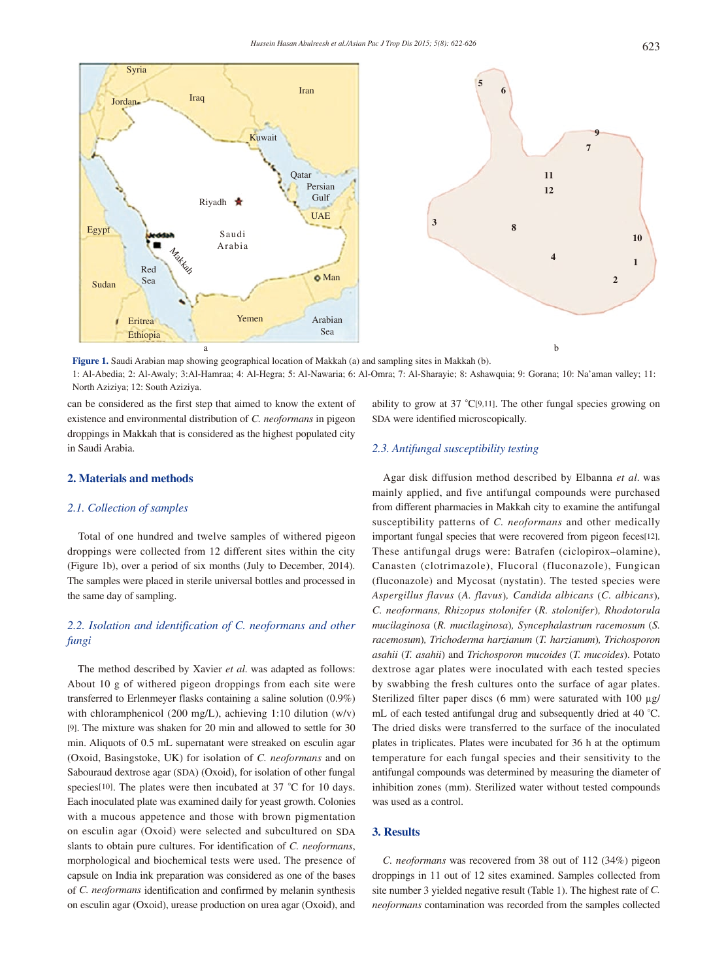

**Figure 1.** Saudi Arabian map showing geographical location of Makkah (a) and sampling sites in Makkah (b). 1: Al-Abedia; 2: Al-Awaly; 3:Al-Hamraa; 4: Al-Hegra; 5: Al-Nawaria; 6: Al-Omra; 7: Al-Sharayie; 8: Ashawquia; 9: Gorana; 10: Na'aman valley; 11: North Aziziya; 12: South Aziziya.

can be considered as the first step that aimed to know the extent of existence and environmental distribution of *C. neoformans* in pigeon droppings in Makkah that is considered as the highest populated city in Saudi Arabia.

# **2. Materials and methods**

## *2.1. Collection of samples*

 Total of one hundred and twelve samples of withered pigeon droppings were collected from 12 different sites within the city (Figure 1b), over a period of six months (July to December, 2014). The samples were placed in sterile universal bottles and processed in the same day of sampling.

# *2.2. Isolation and identification of C. neoformans and other fungi*

 The method described by Xavier *et al.* was adapted as follows: About 10 g of withered pigeon droppings from each site were transferred to Erlenmeyer flasks containing a saline solution (0.9%) with chloramphenicol (200 mg/L), achieving 1:10 dilution (w/v) [9]. The mixture was shaken for 20 min and allowed to settle for 30 min. Aliquots of 0.5 mL supernatant were streaked on esculin agar (Oxoid, Basingstoke, UK) for isolation of *C. neoformans* and on Sabouraud dextrose agar (SDA) (Oxoid), for isolation of other fungal species<sup>[10]</sup>. The plates were then incubated at 37 °C for 10 days. Each inoculated plate was examined daily for yeast growth. Colonies with a mucous appetence and those with brown pigmentation on esculin agar (Oxoid) were selected and subcultured on SDA slants to obtain pure cultures. For identification of *C. neoformans*, morphological and biochemical tests were used. The presence of capsule on India ink preparation was considered as one of the bases of *C. neoformans* identification and confirmed by melanin synthesis on esculin agar (Oxoid), urease production on urea agar (Oxoid), and

ability to grow at 37 °C[9,11]. The other fungal species growing on SDA were identified microscopically.

# *2.3. Antifungal susceptibility testing*

 Agar disk diffusion method described by Elbanna *et al.* was mainly applied, and five antifungal compounds were purchased from different pharmacies in Makkah city to examine the antifungal susceptibility patterns of *C. neoformans* and other medically important fungal species that were recovered from pigeon feces[12]. These antifungal drugs were: Batrafen (ciclopirox–olamine), Canasten (clotrimazole), Flucoral (fluconazole), Fungican (fluconazole) and Mycosat (nystatin). The tested species were *Aspergillus flavus* (*A. flavus*)*, Candida albicans* (*C. albicans*)*, C. neoformans, Rhizopus stolonifer* (*R. stolonifer*)*, Rhodotorula mucilaginosa* (*R. mucilaginosa*)*, Syncephalastrum racemosum* (*S. racemosum*)*, Trichoderma harzianum* (*T. harzianum*)*, Trichosporon asahii* (*T. asahii*) and *Trichosporon mucoides* (*T. mucoides*). Potato dextrose agar plates were inoculated with each tested species by swabbing the fresh cultures onto the surface of agar plates. Sterilized filter paper discs (6 mm) were saturated with 100 µg/ mL of each tested antifungal drug and subsequently dried at 40 °C. The dried disks were transferred to the surface of the inoculated plates in triplicates. Plates were incubated for 36 h at the optimum temperature for each fungal species and their sensitivity to the antifungal compounds was determined by measuring the diameter of inhibition zones (mm). Sterilized water without tested compounds was used as a control.

## **3. Results**

 *C. neoformans* was recovered from 38 out of 112 (34%) pigeon droppings in 11 out of 12 sites examined. Samples collected from site number 3 yielded negative result (Table 1). The highest rate of *C. neoformans* contamination was recorded from the samples collected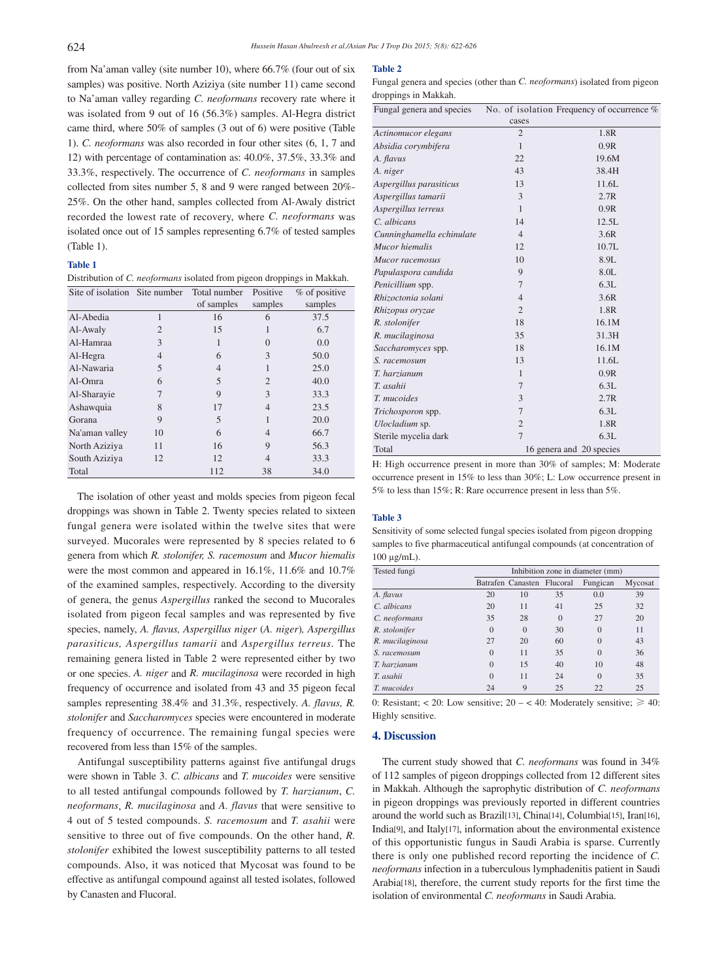from Na'aman valley (site number 10), where 66.7% (four out of six samples) was positive. North Aziziya (site number 11) came second to Na'aman valley regarding *C. neoformans* recovery rate where it was isolated from 9 out of 16 (56.3%) samples. Al-Hegra district came third, where 50% of samples (3 out of 6) were positive (Table 1). *C. neoformans* was also recorded in four other sites (6, 1, 7 and 12) with percentage of contamination as: 40.0%, 37.5%, 33.3% and 33.3%, respectively. The occurrence of *C. neoformans* in samples collected from sites number 5, 8 and 9 were ranged between 20%- 25%. On the other hand, samples collected from Al-Awaly district recorded the lowest rate of recovery, where *C. neoformans* was isolated once out of 15 samples representing 6.7% of tested samples (Table 1).

### **Table 1**

Distribution of *C. neoformans* isolated from pigeon droppings in Makkah.

| Site of isolation Site number |                | Total number   | Positive       | % of positive |  |
|-------------------------------|----------------|----------------|----------------|---------------|--|
|                               |                | of samples     | samples        | samples       |  |
| Al-Abedia                     | 1              | 16             | 6              | 37.5          |  |
| Al-Awaly                      | $\overline{c}$ | 15             | 1              | 6.7           |  |
| Al-Hamraa                     | 3              | 1              | $\theta$       | 0.0           |  |
| Al-Hegra                      | $\overline{4}$ | 6              | 3              | 50.0          |  |
| Al-Nawaria                    | 5              | $\overline{4}$ | 1              | 25.0          |  |
| Al-Omra                       | 6              | 5              | $\overline{c}$ | 40.0          |  |
| Al-Sharayie                   | 7              | Q              | 3              | 33.3          |  |
| Ashawquia                     | 8              | 17             | $\overline{4}$ | 23.5          |  |
| Gorana                        | 9              | 5              | 1              | 20.0          |  |
| Na'aman valley                | 10             | 6              | $\overline{4}$ | 66.7          |  |
| North Aziziya                 | 11             | 16             | 9              | 56.3          |  |
| South Aziziya                 | 12             | 12             | $\overline{4}$ | 33.3          |  |
| Total                         |                | 112            | 38             | 34.0          |  |

 The isolation of other yeast and molds species from pigeon fecal droppings was shown in Table 2. Twenty species related to sixteen fungal genera were isolated within the twelve sites that were surveyed. Mucorales were represented by 8 species related to 6 genera from which *R. stolonifer, S. racemosum* and *Mucor hiemalis* were the most common and appeared in 16.1%, 11.6% and 10.7% of the examined samples, respectively. According to the diversity of genera, the genus *Aspergillus* ranked the second to Mucorales isolated from pigeon fecal samples and was represented by five species, namely, *A. flavus, Aspergillus niger* (*A. niger*)*, Aspergillus parasiticus, Aspergillus tamarii* and *Aspergillus terreus*. The remaining genera listed in Table 2 were represented either by two or one species. *A. niger* and *R. mucilaginosa* were recorded in high frequency of occurrence and isolated from 43 and 35 pigeon fecal samples representing 38.4% and 31.3%, respectively. *A. flavus, R. stolonifer* and *Saccharomyces* species were encountered in moderate frequency of occurrence. The remaining fungal species were recovered from less than 15% of the samples.

 Antifungal susceptibility patterns against five antifungal drugs were shown in Table 3. *C. albicans* and *T. mucoides* were sensitive to all tested antifungal compounds followed by *T. harzianum*, *C. neoformans*, *R. mucilaginosa* and *A. flavus* that were sensitive to 4 out of 5 tested compounds. *S. racemosum* and *T. asahii* were sensitive to three out of five compounds. On the other hand, *R. stolonifer* exhibited the lowest susceptibility patterns to all tested compounds. Also, it was noticed that Mycosat was found to be effective as antifungal compound against all tested isolates, followed by Canasten and Flucoral.

#### **Table 2**

Fungal genera and species (other than *C. neoformans*) isolated from pigeon droppings in Makkah.

| Fungal genera and species |                | No. of isolation Frequency of occurrence $%$ |  |  |
|---------------------------|----------------|----------------------------------------------|--|--|
|                           | cases          |                                              |  |  |
| Actinomucor elegans       | $\overline{2}$ | 1.8R                                         |  |  |
| Absidia corymbifera       | $\mathbf{1}$   | 0.9R                                         |  |  |
| A. flavus                 | 22             | 19.6M                                        |  |  |
| A. niger                  | 43             | 38.4H                                        |  |  |
| Aspergillus parasiticus   | 13             | 11.6L                                        |  |  |
| Aspergillus tamarii       | 3              | 2.7R                                         |  |  |
| Aspergillus terreus       | $\mathbf{1}$   | 0.9R                                         |  |  |
| C. albicans               | 14             | 12.5L                                        |  |  |
| Cunninghamella echinulate | $\overline{4}$ | 3.6R                                         |  |  |
| Mucor hiemalis            | 12             | 10.7L                                        |  |  |
| Mucor racemosus           | 10             | 8.9L                                         |  |  |
| Papulaspora candida       | 9              | 8.0L                                         |  |  |
| Penicillium spp.          | $\overline{7}$ | 6.3L                                         |  |  |
| Rhizoctonia solani        | $\overline{4}$ | 3.6R                                         |  |  |
| Rhizopus oryzae           | $\overline{2}$ | 1.8R                                         |  |  |
| R. stolonifer             | 18             | 16.1M                                        |  |  |
| R. mucilaginosa           | 35             | 31.3H                                        |  |  |
| Saccharomyces spp.        | 18             | 16.1M                                        |  |  |
| S. racemosum              | 13             | 11.6L                                        |  |  |
| T. harzianum              | $\mathbf{1}$   | 0.9R                                         |  |  |
| T. asahii                 | 7              | 6.3L                                         |  |  |
| T. mucoides               | 3              | 2.7R                                         |  |  |
| Trichosporon spp.         | 7              | 6.3L                                         |  |  |
| Ulocladium sp.            | $\overline{2}$ | 1.8R                                         |  |  |
| Sterile mycelia dark      | $\overline{7}$ | 6.3L                                         |  |  |
| Total                     |                | 16 genera and 20 species                     |  |  |

H: High occurrence present in more than 30% of samples; M: Moderate occurrence present in 15% to less than 30%; L: Low occurrence present in 5% to less than 15%; R: Rare occurrence present in less than 5%.

#### **Table 3**

Sensitivity of some selected fungal species isolated from pigeon dropping samples to five pharmaceutical antifungal compounds (at concentration of 100 µg/mL).

| Tested fungi    | Inhibition zone in diameter (mm) |                            |          |          |         |  |
|-----------------|----------------------------------|----------------------------|----------|----------|---------|--|
|                 |                                  | Batrafen Canasten Flucoral |          | Fungican | Mycosat |  |
| A. flavus       | 20                               | 10                         | 35       | 0.0      | 39      |  |
| C. albicans     | 20                               | 11                         | 41       | 25       | 32      |  |
| C. neoformans   | 35                               | 28                         | $\Omega$ | 27       | 20      |  |
| R. stolonifer   | $\theta$                         | $\Omega$                   | 30       | $\left($ | 11      |  |
| R. mucilaginosa | 27                               | 20                         | 60       |          | 43      |  |
| S. racemosum    | $\Omega$                         | 11                         | 35       |          | 36      |  |
| T. harzianum    | $\Omega$                         | 15                         | 40       | 10       | 48      |  |
| T. asahii       | $\Omega$                         | 11                         | 24       | $\Omega$ | 35      |  |
| T. mucoides     | 24                               | 9                          | 25       | 22       | 25      |  |

0: Resistant; < 20: Low sensitive;  $20 - 40$ : Moderately sensitive;  $\ge 40$ : Highly sensitive.

## **4. Discussion**

 The current study showed that *C. neoformans* was found in 34% of 112 samples of pigeon droppings collected from 12 different sites in Makkah. Although the saprophytic distribution of *C. neoformans* in pigeon droppings was previously reported in different countries around the world such as Brazil[13], China[14], Columbia[15], Iran[16], India[9], and Italy[17], information about the environmental existence of this opportunistic fungus in Saudi Arabia is sparse. Currently there is only one published record reporting the incidence of *C. neoformans* infection in a tuberculous lymphadenitis patient in Saudi Arabia[18], therefore, the current study reports for the first time the isolation of environmental *C. neoformans* in Saudi Arabia.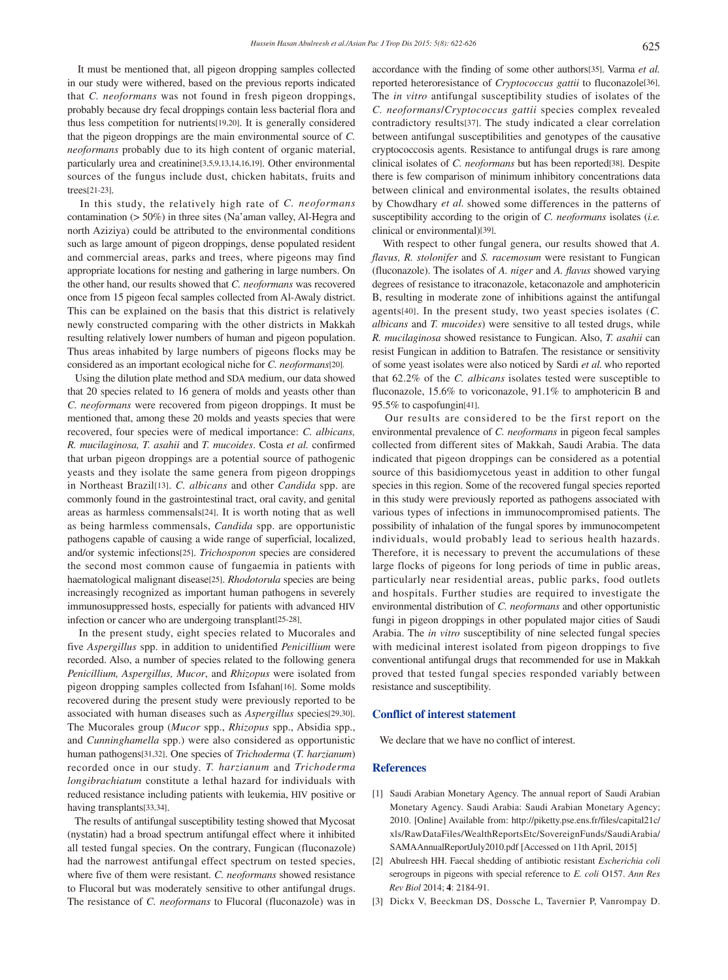It must be mentioned that, all pigeon dropping samples collected in our study were withered, based on the previous reports indicated that *C. neoformans* was not found in fresh pigeon droppings, probably because dry fecal droppings contain less bacterial flora and thus less competition for nutrients[19,20]. It is generally considered that the pigeon droppings are the main environmental source of *C. neoformans* probably due to its high content of organic material, particularly urea and creatinine[3,5,9,13,14,16,19]. Other environmental sources of the fungus include dust, chicken habitats, fruits and trees[21-23].

 In this study, the relatively high rate of *C. neoformans* contamination (> 50%) in three sites (Na'aman valley, Al-Hegra and north Aziziya) could be attributed to the environmental conditions such as large amount of pigeon droppings, dense populated resident and commercial areas, parks and trees, where pigeons may find appropriate locations for nesting and gathering in large numbers. On the other hand, our results showed that *C. neoformans* was recovered once from 15 pigeon fecal samples collected from Al-Awaly district. This can be explained on the basis that this district is relatively newly constructed comparing with the other districts in Makkah resulting relatively lower numbers of human and pigeon population. Thus areas inhabited by large numbers of pigeons flocks may be considered as an important ecological niche for *C. neoformans*[20].

 Using the dilution plate method and SDA medium, our data showed that 20 species related to 16 genera of molds and yeasts other than *C. neoformans* were recovered from pigeon droppings. It must be mentioned that, among these 20 molds and yeasts species that were recovered, four species were of medical importance: *C. albicans, R. mucilaginosa, T. asahii* and *T. mucoides*. Costa *et al.* confirmed that urban pigeon droppings are a potential source of pathogenic yeasts and they isolate the same genera from pigeon droppings in Northeast Brazil[13]. *C. albicans* and other *Candida* spp. are commonly found in the gastrointestinal tract, oral cavity, and genital areas as harmless commensals[24]. It is worth noting that as well as being harmless commensals, *Candida* spp. are opportunistic pathogens capable of causing a wide range of superficial, localized, and/or systemic infections[25]. *Trichosporon* species are considered the second most common cause of fungaemia in patients with haematological malignant disease[25]. *Rhodotorula* species are being increasingly recognized as important human pathogens in severely immunosuppressed hosts, especially for patients with advanced HIV infection or cancer who are undergoing transplant[25-28].

 In the present study, eight species related to Mucorales and five *Aspergillus* spp. in addition to unidentified *Penicillium* were recorded. Also, a number of species related to the following genera *Penicillium, Aspergillus, Mucor*, and *Rhizopus* were isolated from pigeon dropping samples collected from Isfahan[16]. Some molds recovered during the present study were previously reported to be associated with human diseases such as *Aspergillus* species[29,30]. The Mucorales group (*Mucor* spp., *Rhizopus* spp., Absidia spp., and *Cunninghamella* spp.) were also considered as opportunistic human pathogens[31,32]. One species of *Trichoderma* (*T. harzianum*) recorded once in our study. *T. harzianum* and *Trichoderma longibrachiatum* constitute a lethal hazard for individuals with reduced resistance including patients with leukemia, HIV positive or having transplants[33,34].

 The results of antifungal susceptibility testing showed that Mycosat (nystatin) had a broad spectrum antifungal effect where it inhibited all tested fungal species. On the contrary, Fungican (fluconazole) had the narrowest antifungal effect spectrum on tested species, where five of them were resistant. *C. neoformans* showed resistance to Flucoral but was moderately sensitive to other antifungal drugs. The resistance of *C. neoformans* to Flucoral (fluconazole) was in accordance with the finding of some other authors[35]. Varma *et al.* reported heteroresistance of *Cryptococcus gattii* to fluconazole[36]. The *in vitro* antifungal susceptibility studies of isolates of the *C. neoformans*/*Cryptococcus gattii* species complex revealed contradictory results[37]. The study indicated a clear correlation between antifungal susceptibilities and genotypes of the causative cryptococcosis agents. Resistance to antifungal drugs is rare among clinical isolates of *C. neoformans* but has been reported[38]. Despite there is few comparison of minimum inhibitory concentrations data between clinical and environmental isolates, the results obtained by Chowdhary *et al.* showed some differences in the patterns of susceptibility according to the origin of *C. neoformans* isolates (*i.e.*  clinical or environmental)[39].

 With respect to other fungal genera, our results showed that *A. flavus, R. stolonifer* and *S. racemosum* were resistant to Fungican (fluconazole). The isolates of *A. niger* and *A. flavus* showed varying degrees of resistance to itraconazole, ketaconazole and amphotericin B, resulting in moderate zone of inhibitions against the antifungal agents[40]. In the present study, two yeast species isolates (*C. albicans* and *T. mucoides*) were sensitive to all tested drugs, while *R. mucilaginosa* showed resistance to Fungican. Also, *T. asahii* can resist Fungican in addition to Batrafen. The resistance or sensitivity of some yeast isolates were also noticed by Sardi *et al.* who reported that 62.2% of the *C. albicans* isolates tested were susceptible to fluconazole, 15.6% to voriconazole, 91.1% to amphotericin B and 95.5% to caspofungin[41].

 Our results are considered to be the first report on the environmental prevalence of *C. neoformans* in pigeon fecal samples collected from different sites of Makkah, Saudi Arabia. The data indicated that pigeon droppings can be considered as a potential source of this basidiomycetous yeast in addition to other fungal species in this region. Some of the recovered fungal species reported in this study were previously reported as pathogens associated with various types of infections in immunocompromised patients. The possibility of inhalation of the fungal spores by immunocompetent individuals, would probably lead to serious health hazards. Therefore, it is necessary to prevent the accumulations of these large flocks of pigeons for long periods of time in public areas, particularly near residential areas, public parks, food outlets and hospitals. Further studies are required to investigate the environmental distribution of *C. neoformans* and other opportunistic fungi in pigeon droppings in other populated major cities of Saudi Arabia. The *in vitro* susceptibility of nine selected fungal species with medicinal interest isolated from pigeon droppings to five conventional antifungal drugs that recommended for use in Makkah proved that tested fungal species responded variably between resistance and susceptibility.

## **Conflict of interest statement**

We declare that we have no conflict of interest.

### **References**

- [1] Saudi Arabian Monetary Agency. The annual report of Saudi Arabian Monetary Agency. Saudi Arabia: Saudi Arabian Monetary Agency; 2010. [Online] Available from: http://piketty.pse.ens.fr/files/capital21c/ xls/RawDataFiles/WealthReportsEtc/SovereignFunds/SaudiArabia/ SAMAAnnualReportJuly2010.pdf [Accessed on 11th April, 2015]
- [2] Abulreesh HH. Faecal shedding of antibiotic resistant *Escherichia coli*  serogroups in pigeons with special reference to *E. coli* O157. *Ann Res Rev Biol* 2014; **4**: 2184-91.
- [3] Dickx V, Beeckman DS, Dossche L, Tavernier P, Vanrompay D.